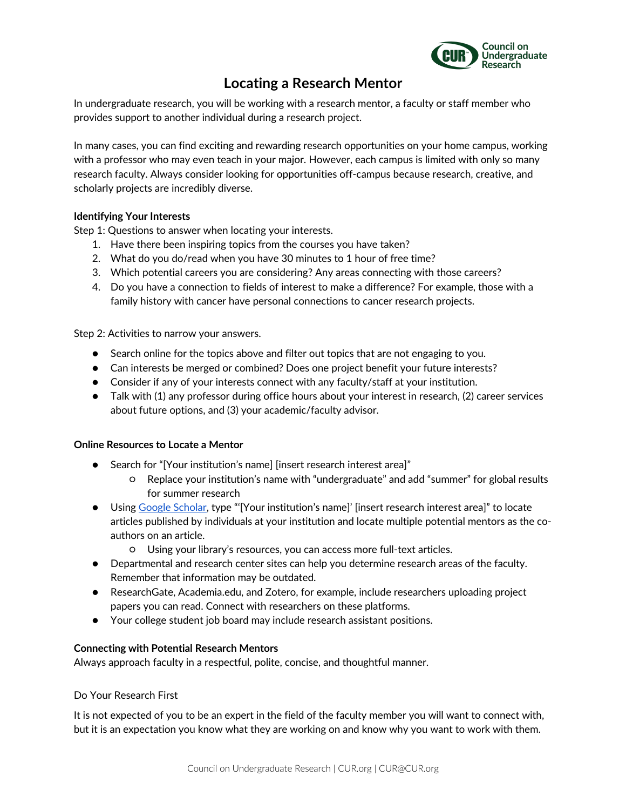

# **Locating a Research Mentor**

In undergraduate research, you will be working with a research mentor, a faculty or staff member who provides support to another individual during a research project.

In many cases, you can find exciting and rewarding research opportunities on your home campus, working with a professor who may even teach in your major. However, each campus is limited with only so many research faculty. Always consider looking for opportunities off-campus because research, creative, and scholarly projects are incredibly diverse.

# **Identifying Your Interests**

Step 1: Questions to answer when locating your interests.

- 1. Have there been inspiring topics from the courses you have taken?
- 2. What do you do/read when you have 30 minutes to 1 hour of free time?
- 3. Which potential careers you are considering? Any areas connecting with those careers?
- 4. Do you have a connection to fields of interest to make a difference? For example, those with a family history with cancer have personal connections to cancer research projects.

Step 2: Activities to narrow your answers.

- Search online for the topics above and filter out topics that are not engaging to you.
- Can interests be merged or combined? Does one project benefit your future interests?
- Consider if any of your interests connect with any faculty/staff at your institution.
- $\bullet$  Talk with (1) any professor during office hours about your interest in research, (2) career services about future options, and (3) your academic/faculty advisor.

### **Online Resources to Locate a Mentor**

- Search for "[Your institution's name] [insert research interest area]"
	- Replace your institution's name with "undergraduate" and add "summer" for global results for summer research
- Using Google Scholar, type "'[Your institution's name]' [insert research interest area]" to locate articles published by individuals at your institution and locate multiple potential mentors as the coauthors on an article.
	- Using your library's resources, you can access more full-text articles.
- Departmental and research center sites can help you determine research areas of the faculty. Remember that information may be outdated.
- ResearchGate, Academia.edu, and Zotero, for example, include researchers uploading project papers you can read. Connect with researchers on these platforms.
- Your college student job board may include research assistant positions.

### **Connecting with Potential Research Mentors**

Always approach faculty in a respectful, polite, concise, and thoughtful manner.

### Do Your Research First

It is not expected of you to be an expert in the field of the faculty member you will want to connect with, but it is an expectation you know what they are working on and know why you want to work with them.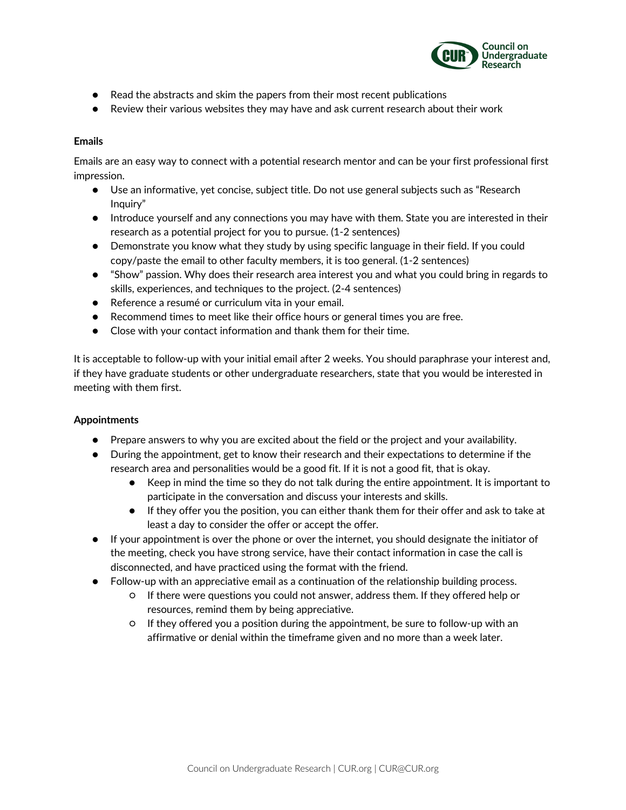

- Read the abstracts and skim the papers from their most recent publications
- Review their various websites they may have and ask current research about their work

# **Emails**

Emails are an easy way to connect with a potential research mentor and can be your first professional first impression.

- Use an informative, yet concise, subject title. Do not use general subjects such as "Research Inquiry"
- Introduce yourself and any connections you may have with them. State you are interested in their research as a potential project for you to pursue. (1-2 sentences)
- Demonstrate you know what they study by using specific language in their field. If you could copy/paste the email to other faculty members, it is too general. (1-2 sentences)
- "Show" passion. Why does their research area interest you and what you could bring in regards to skills, experiences, and techniques to the project. (2-4 sentences)
- Reference a resumé or curriculum vita in your email.
- Recommend times to meet like their office hours or general times you are free.
- Close with your contact information and thank them for their time.

It is acceptable to follow-up with your initial email after 2 weeks. You should paraphrase your interest and, if they have graduate students or other undergraduate researchers, state that you would be interested in meeting with them first.

### **Appointments**

- Prepare answers to why you are excited about the field or the project and your availability.
- During the appointment, get to know their research and their expectations to determine if the research area and personalities would be a good fit. If it is not a good fit, that is okay.
	- Keep in mind the time so they do not talk during the entire appointment. It is important to participate in the conversation and discuss your interests and skills.
	- If they offer you the position, you can either thank them for their offer and ask to take at least a day to consider the offer or accept the offer.
- If your appointment is over the phone or over the internet, you should designate the initiator of the meeting, check you have strong service, have their contact information in case the call is disconnected, and have practiced using the format with the friend.
- Follow-up with an appreciative email as a continuation of the relationship building process.
	- If there were questions you could not answer, address them. If they offered help or resources, remind them by being appreciative.
	- If they offered you a position during the appointment, be sure to follow-up with an affirmative or denial within the timeframe given and no more than a week later.